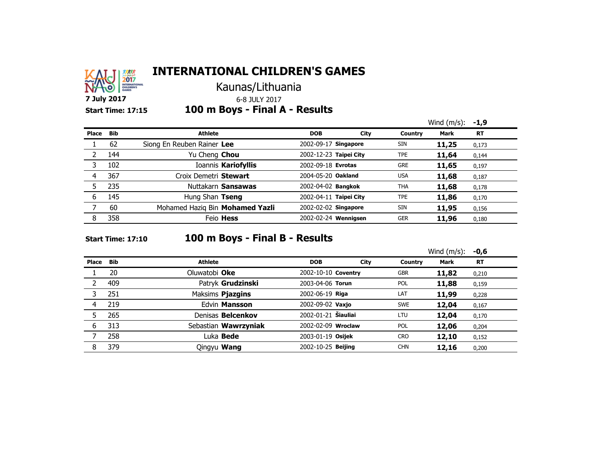

Kaunas/Lithuania

**7 July 2017** 6-8 JULY 2017

### **Start Time: 17:15 100 m Boys - Final A - Results**

|       |            |                                 |                           |      |            | Wind $(m/s)$ : | -1,9      |
|-------|------------|---------------------------------|---------------------------|------|------------|----------------|-----------|
| Place | <b>Bib</b> | <b>Athlete</b>                  | <b>DOB</b>                | City | Country    | <b>Mark</b>    | <b>RT</b> |
|       | 62         | Siong En Reuben Rainer Lee      | 2002-09-17 Singapore      |      | <b>SIN</b> | 11,25          | 0,173     |
|       | 144        | Yu Cheng Chou                   | 2002-12-23 Taipei City    |      | <b>TPE</b> | 11,64          | 0,144     |
|       | 102        | Ioannis Kariofyllis             | 2002-09-18 Evrotas        |      | <b>GRE</b> | 11,65          | 0,197     |
| 4     | 367        | Croix Demetri Stewart           | 2004-05-20 Oakland        |      | <b>USA</b> | 11,68          | 0,187     |
|       | 235        | Nuttakarn Sansawas              | 2002-04-02 <b>Bangkok</b> |      | <b>THA</b> | 11,68          | 0,178     |
| 6     | 145        | Hung Shan Tseng                 | 2002-04-11 Taipei City    |      | <b>TPE</b> | 11,86          | 0,170     |
|       | 60         | Mohamed Haziq Bin Mohamed Yazli | 2002-02-02 Singapore      |      | <b>SIN</b> | 11,95          | 0,156     |
| 8     | 358        | Feio <b>Hess</b>                | 2002-02-24 Wennigsen      |      | <b>GER</b> | 11,96          | 0,180     |

### **Start Time: 17:10 100 m Boys - Final B - Results**

|       |            |                          |                     |      |            | Wind $(m/s)$ : | $-0,6$    |
|-------|------------|--------------------------|---------------------|------|------------|----------------|-----------|
| Place | <b>Bib</b> | Athlete                  | <b>DOB</b>          | City | Country    | <b>Mark</b>    | <b>RT</b> |
|       | 20         | Oluwatobi Oke            | 2002-10-10 Coventry |      | <b>GBR</b> | 11,82          | 0,210     |
|       | 409        | Patryk Grudzinski        | 2003-04-06 Torun    |      | <b>POL</b> | 11,88          | 0,159     |
|       | 251        | Maksims Pjazgins         | 2002-06-19 Riga     |      | LAT        | 11,99          | 0,228     |
| 4     | 219        | Edvin Mansson            | 2002-09-02 Vaxjo    |      | <b>SWE</b> | 12,04          | 0,167     |
|       | 265        | Denisas <b>Belcenkov</b> | 2002-01-21 Šiauliai |      | LTU        | 12,04          | 0,170     |
| 6     | 313        | Sebastian Wawrzyniak     | 2002-02-09 Wroclaw  |      | <b>POL</b> | 12,06          | 0,204     |
|       | 258        | Luka <b>Bede</b>         | 2003-01-19 Osijek   |      | <b>CRO</b> | 12,10          | 0,152     |
| 8     | 379        | Qingyu Wang              | 2002-10-25 Beijing  |      | <b>CHN</b> | 12,16          | 0,200     |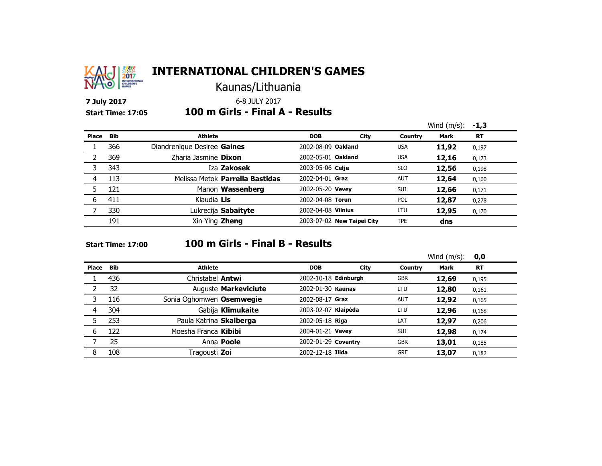

Kaunas/Lithuania

**7 July 2017** 6-8 JULY 2017

#### **Start Time: 17:05 100 m Girls - Final A - Results**

|       |            |                                 |                    |                            |            | Wind $(m/s)$ : | $-1,3$    |
|-------|------------|---------------------------------|--------------------|----------------------------|------------|----------------|-----------|
| Place | <b>Bib</b> | <b>Athlete</b>                  | <b>DOB</b>         | City                       | Country    | <b>Mark</b>    | <b>RT</b> |
|       | 366        | Diandrenique Desiree Gaines     | 2002-08-09 Oakland |                            | <b>USA</b> | 11,92          | 0,197     |
|       | 369        | Zharia Jasmine Dixon            | 2002-05-01 Oakland |                            | <b>USA</b> | 12,16          | 0,173     |
| 3     | 343        | Iza Zakosek                     | 2003-05-06 Celje   |                            | <b>SLO</b> | 12,56          | 0,198     |
| 4     | 113        | Melissa Metok Parrella Bastidas | 2002-04-01 Graz    |                            | <b>AUT</b> | 12,64          | 0,160     |
|       | 121        | Manon Wassenberg                | 2002-05-20 Vevey   |                            | <b>SUI</b> | 12,66          | 0,171     |
| 6     | 411        | Klaudia Lis                     | 2002-04-08 Torun   |                            | <b>POL</b> | 12,87          | 0,278     |
|       | 330        | Lukrecija Sabaityte             | 2002-04-08 Vilnius |                            | LTU        | 12,95          | 0,170     |
|       | 191        | Xin Ying Zheng                  |                    | 2003-07-02 New Taipei City | <b>TPE</b> | dns            |           |

### **Start Time: 17:00 100 m Girls - Final B - Results**

|       |            |                          |                      |      |            | Wind $(m/s)$ : | 0,0       |
|-------|------------|--------------------------|----------------------|------|------------|----------------|-----------|
| Place | <b>Bib</b> | <b>Athlete</b>           | <b>DOB</b>           | City | Country    | <b>Mark</b>    | <b>RT</b> |
|       | 436        | Christabel <b>Antwi</b>  | 2002-10-18 Edinburgh |      | <b>GBR</b> | 12,69          | 0,195     |
|       | 32         | Auguste Markeviciute     | 2002-01-30 Kaunas    |      | LTU        | 12,80          | 0,161     |
| 3     | 116        | Sonia Oghomwen Osemwegie | 2002-08-17 Graz      |      | <b>AUT</b> | 12,92          | 0,165     |
| 4     | 304        | Gabija Klimukaite        | 2003-02-07 Klaipėda  |      | LTU        | 12,96          | 0,168     |
|       | 253        | Paula Katrina Skalberga  | 2002-05-18 Riga      |      | LAT        | 12,97          | 0,206     |
| 6     | 122        | Moesha Franca Kibibi     | 2004-01-21 Vevey     |      | <b>SUI</b> | 12,98          | 0,174     |
|       | 25         | Anna <b>Poole</b>        | 2002-01-29 Coventry  |      | <b>GBR</b> | 13,01          | 0,185     |
| 8     | 108        | Tragousti Zoi            | 2002-12-18 Ilida     |      | <b>GRE</b> | 13,07          | 0,182     |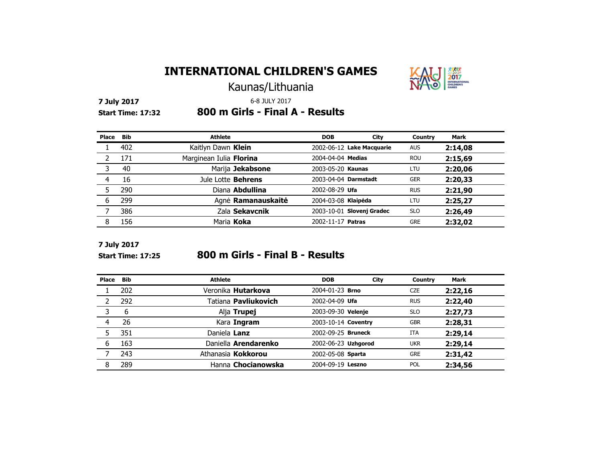

Kaunas/Lithuania

**7 July 2017** 6-8 JULY 2017

**Start Time: 17:32 800 m Girls - Final A - Results** <sup>3</sup>

| Place | Bib | <b>Athlete</b>          | <b>DOB</b>           | City                      | Country    | <b>Mark</b> |
|-------|-----|-------------------------|----------------------|---------------------------|------------|-------------|
|       | 402 | Kaitlyn Dawn Klein      |                      | 2002-06-12 Lake Macquarie | <b>AUS</b> | 2:14,08     |
|       | 171 | Marginean Iulia Florina | 2004-04-04 Medias    |                           | <b>ROU</b> | 2:15,69     |
|       | 40  | Marija Jekabsone        | 2003-05-20 Kaunas    |                           | LTU        | 2:20,06     |
|       | 16  | Jule Lotte Behrens      | 2003-04-04 Darmstadt |                           | <b>GER</b> | 2:20,33     |
|       | 290 | Diana Abdullina         | 2002-08-29 Ufa       |                           | <b>RUS</b> | 2:21,90     |
| 6     | 299 | Agnė Ramanauskaitė      | 2004-03-08 Klaipėda  |                           | LTU        | 2:25,27     |
|       | 386 | Zala Sekavcnik          |                      | 2003-10-01 Slovenj Gradec | <b>SLO</b> | 2:26,49     |
|       | 156 | Maria Koka              | 2002-11-17 Patras    |                           | <b>GRE</b> | 2:32,02     |

**7 July 2017**

#### **Start Time: 17:25 800 m Girls - Final B - Results**

| Place | <b>Bib</b> | Athlete                     | <b>DOB</b>          | City | Country    | <b>Mark</b> |
|-------|------------|-----------------------------|---------------------|------|------------|-------------|
|       | 202        | Veronika <b>Hutarkova</b>   | 2004-01-23 Brno     |      | <b>CZE</b> | 2:22,16     |
|       | 292        | Tatiana <b>Pavliukovich</b> | 2002-04-09 Ufa      |      | <b>RUS</b> | 2:22,40     |
| 3     | 6          | Alja Trupej                 | 2003-09-30 Velenje  |      | <b>SLO</b> | 2:27,73     |
|       | 26         | Kara Ingram                 | 2003-10-14 Coventry |      | <b>GBR</b> | 2:28,31     |
|       | 351        | Daniela Lanz                | 2002-09-25 Bruneck  |      | <b>ITA</b> | 2:29,14     |
| 6     | 163        | Daniella Arendarenko        | 2002-06-23 Uzhgorod |      | <b>UKR</b> | 2:29,14     |
|       | 243        | Athanasia Kokkorou          | 2002-05-08 Sparta   |      | <b>GRE</b> | 2:31,42     |
| 8     | 289        | Hanna Chocianowska          | 2004-09-19 Leszno   |      | <b>POL</b> | 2:34,56     |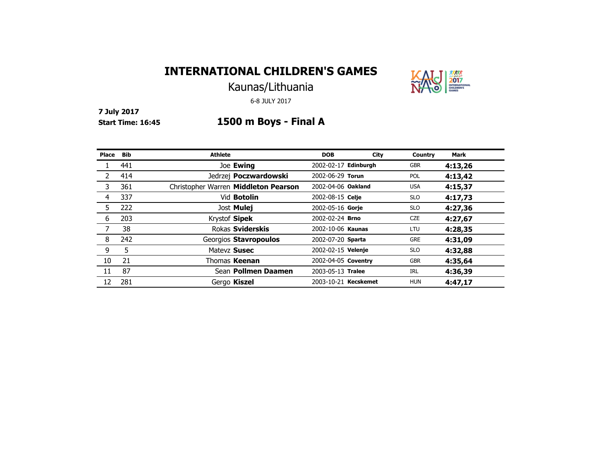

Kaunas/Lithuania

6-8 JULY 2017

**7 July 2017**

## **Start Time: 16:45 1500 m Boys - Final A**

| Place | <b>Bib</b> | <b>Athlete</b>                       | <b>DOB</b>           | City | Country    | Mark    |
|-------|------------|--------------------------------------|----------------------|------|------------|---------|
|       | 441        | Joe Ewing                            | 2002-02-17 Edinburgh |      | <b>GBR</b> | 4:13,26 |
|       | 414        | Jedrzej <b>Poczwardowski</b>         | 2002-06-29 Torun     |      | <b>POL</b> | 4:13,42 |
| 3     | 361        | Christopher Warren Middleton Pearson | 2002-04-06 Oakland   |      | <b>USA</b> | 4:15,37 |
| 4     | 337        | Vid <b>Botolin</b>                   | 2002-08-15 Celje     |      | <b>SLO</b> | 4:17,73 |
| 5     | 222        | Jost Mulej                           | 2002-05-16 Gorie     |      | <b>SLO</b> | 4:27,36 |
| 6     | 203        | Krystof Sipek                        | 2002-02-24 Brno      |      | <b>CZE</b> | 4:27,67 |
|       | 38         | Rokas Sviderskis                     | 2002-10-06 Kaunas    |      | LTU        | 4:28,35 |
| 8     | 242        | Georgios Stavropoulos                | 2002-07-20 Sparta    |      | <b>GRE</b> | 4:31,09 |
| 9     | 5          | Matevz Susec                         | 2002-02-15 Velenje   |      | <b>SLO</b> | 4:32,88 |
| 10    | 21         | Thomas Keenan                        | 2002-04-05 Coventry  |      | <b>GBR</b> | 4:35,64 |
| 11    | 87         | Sean <b>Pollmen Daamen</b>           | 2003-05-13 Tralee    |      | IRL        | 4:36,39 |
| 12    | 281        | Gergo Kiszel                         | 2003-10-21 Kecskemet |      | <b>HUN</b> | 4:47,17 |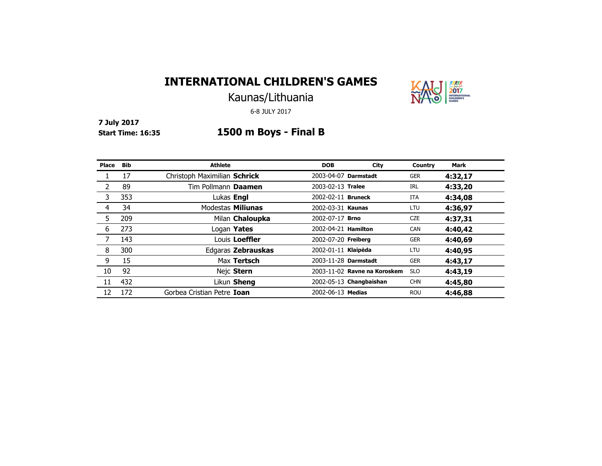

Kaunas/Lithuania

6-8 JULY 2017

**7 July 2017**

## **Start Time: 16:35 1500 m Boys - Final B**

| Place | <b>Bib</b> | <b>Athlete</b>               | <b>DOB</b>             | City                         | Country    | <b>Mark</b> |
|-------|------------|------------------------------|------------------------|------------------------------|------------|-------------|
|       | 17         | Christoph Maximilian Schrick | 2003-04-07 Darmstadt   |                              | <b>GER</b> | 4:32,17     |
|       | 89         | Tim Pollmann Daamen          | 2003-02-13 Tralee      |                              | <b>IRL</b> | 4:33,20     |
| 3     | 353        | Lukas Engl                   | 2002-02-11 Bruneck     |                              | ITA        | 4:34,08     |
| 4     | 34         | Modestas Miliunas            | 2002-03-31 Kaunas      |                              | LTU        | 4:36,97     |
| 5     | 209        | Milan Chaloupka              | 2002-07-17 <b>Brno</b> |                              | <b>CZE</b> | 4:37,31     |
| 6     | 273        | Logan Yates                  | 2002-04-21 Hamilton    |                              | CAN        | 4:40,42     |
|       | 143        | Louis Loeffler               | 2002-07-20 Freiberg    |                              | <b>GER</b> | 4:40,69     |
| 8     | 300        | Edgaras Zebrauskas           | 2002-01-11 Klaipėda    |                              | LTU        | 4:40,95     |
| 9     | 15         | Max Tertsch                  | 2003-11-28 Darmstadt   |                              | <b>GER</b> | 4:43,17     |
| 10    | 92         | Nejc Stern                   |                        | 2003-11-02 Ravne na Koroskem | <b>SLO</b> | 4:43,19     |
| 11    | 432        | Likun Sheng                  |                        | 2002-05-13 Changbaishan      | <b>CHN</b> | 4:45,80     |
| 12    | 172        | Gorbea Cristian Petre Ioan   | 2002-06-13 Medias      |                              | <b>ROU</b> | 4:46.88     |